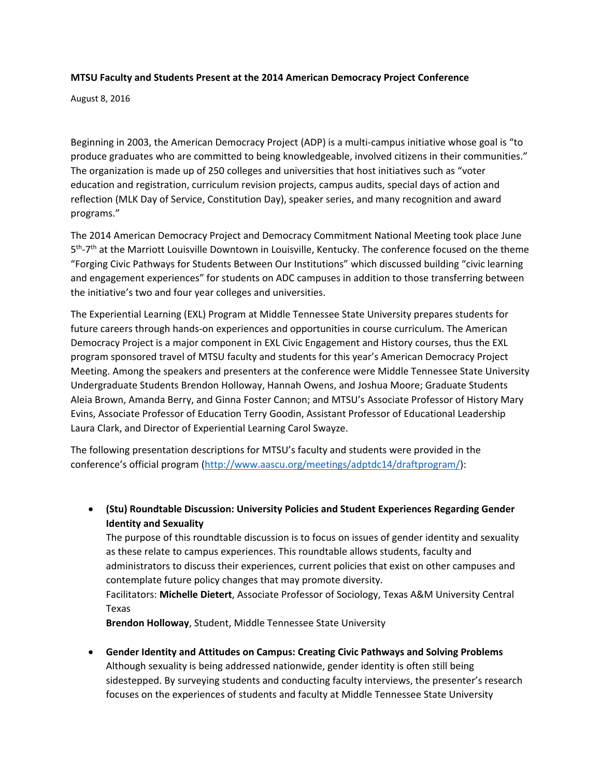## **MTSU Faculty and Students Present at the 2014 American Democracy Project Conference**

August 8, 2016

Beginning in 2003, the American Democracy Project (ADP) is a multi-campus initiative whose goal is "to produce graduates who are committed to being knowledgeable, involved citizens in their communities." The organization is made up of 250 colleges and universities that host initiatives such as "voter education and registration, curriculum revision projects, campus audits, special days of action and reflection (MLK Day of Service, Constitution Day), speaker series, and many recognition and award programs."

The 2014 American Democracy Project and Democracy Commitment National Meeting took place June 5<sup>th</sup>-7<sup>th</sup> at the Marriott Louisville Downtown in Louisville, Kentucky. The conference focused on the theme "Forging Civic Pathways for Students Between Our Institutions" which discussed building "civic learning and engagement experiences" for students on ADC campuses in addition to those transferring between the initiative's two and four year colleges and universities.

The Experiential Learning (EXL) Program at Middle Tennessee State University prepares students for future careers through hands-on experiences and opportunities in course curriculum. The American Democracy Project is a major component in EXL Civic Engagement and History courses, thus the EXL program sponsored travel of MTSU faculty and students for this year's American Democracy Project Meeting. Among the speakers and presenters at the conference were Middle Tennessee State University Undergraduate Students Brendon Holloway, Hannah Owens, and Joshua Moore; Graduate Students Aleia Brown, Amanda Berry, and Ginna Foster Cannon; and MTSU's Associate Professor of History Mary Evins, Associate Professor of Education Terry Goodin, Assistant Professor of Educational Leadership Laura Clark, and Director of Experiential Learning Carol Swayze.

The following presentation descriptions for MTSU's faculty and students were provided in the conference's official program [\(http://www.aascu.org/meetings/adptdc14/draftprogram/\)](http://www.aascu.org/meetings/adptdc14/draftprogram/):

 **(Stu) Roundtable Discussion: University Policies and Student Experiences Regarding Gender Identity and Sexuality**

The purpose of this roundtable discussion is to focus on issues of gender identity and sexuality as these relate to campus experiences. This roundtable allows students, faculty and administrators to discuss their experiences, current policies that exist on other campuses and contemplate future policy changes that may promote diversity.

Facilitators: **Michelle Dietert**, Associate Professor of Sociology, Texas A&M University Central Texas

**Brendon Holloway**, Student, Middle Tennessee State University

 **Gender Identity and Attitudes on Campus: Creating Civic Pathways and Solving Problems** Although sexuality is being addressed nationwide, gender identity is often still being sidestepped. By surveying students and conducting faculty interviews, the presenter's research focuses on the experiences of students and faculty at Middle Tennessee State University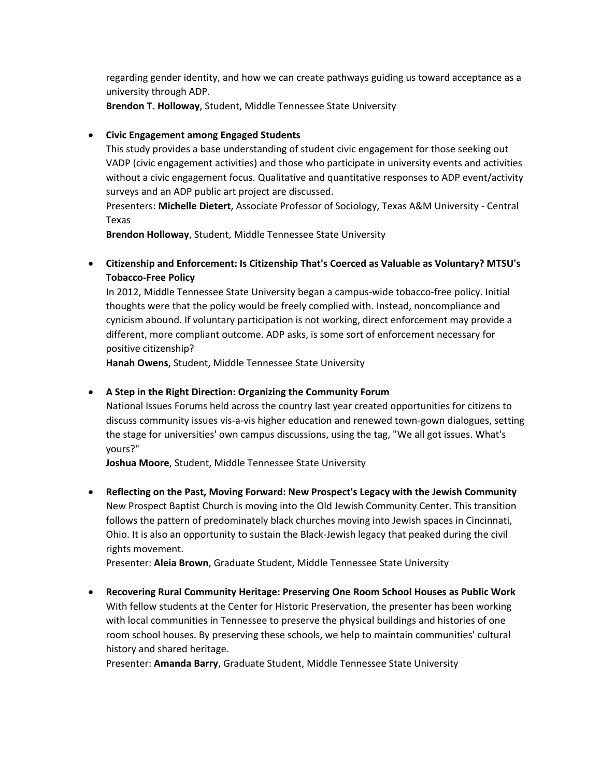regarding gender identity, and how we can create pathways guiding us toward acceptance as a university through ADP.

**Brendon T. Holloway**, Student, Middle Tennessee State University

## **Civic Engagement among Engaged Students**

This study provides a base understanding of student civic engagement for those seeking out VADP (civic engagement activities) and those who participate in university events and activities without a civic engagement focus. Qualitative and quantitative responses to ADP event/activity surveys and an ADP public art project are discussed.

Presenters: **Michelle Dietert**, Associate Professor of Sociology, Texas A&M University - Central Texas

**Brendon Holloway**, Student, Middle Tennessee State University

 **Citizenship and Enforcement: Is Citizenship That's Coerced as Valuable as Voluntary? MTSU's Tobacco-Free Policy**

In 2012, Middle Tennessee State University began a campus-wide tobacco-free policy. Initial thoughts were that the policy would be freely complied with. Instead, noncompliance and cynicism abound. If voluntary participation is not working, direct enforcement may provide a different, more compliant outcome. ADP asks, is some sort of enforcement necessary for positive citizenship?

**Hanah Owens**, Student, Middle Tennessee State University

## **A Step in the Right Direction: Organizing the Community Forum**

National Issues Forums held across the country last year created opportunities for citizens to discuss community issues vis-a-vis higher education and renewed town-gown dialogues, setting the stage for universities' own campus discussions, using the tag, "We all got issues. What's yours?"

**Joshua Moore**, Student, Middle Tennessee State University

 **Reflecting on the Past, Moving Forward: New Prospect's Legacy with the Jewish Community** New Prospect Baptist Church is moving into the Old Jewish Community Center. This transition follows the pattern of predominately black churches moving into Jewish spaces in Cincinnati, Ohio. It is also an opportunity to sustain the Black-Jewish legacy that peaked during the civil rights movement.

Presenter: **Aleia Brown**, Graduate Student, Middle Tennessee State University

 **Recovering Rural Community Heritage: Preserving One Room School Houses as Public Work** With fellow students at the Center for Historic Preservation, the presenter has been working with local communities in Tennessee to preserve the physical buildings and histories of one room school houses. By preserving these schools, we help to maintain communities' cultural history and shared heritage.

Presenter: **Amanda Barry**, Graduate Student, Middle Tennessee State University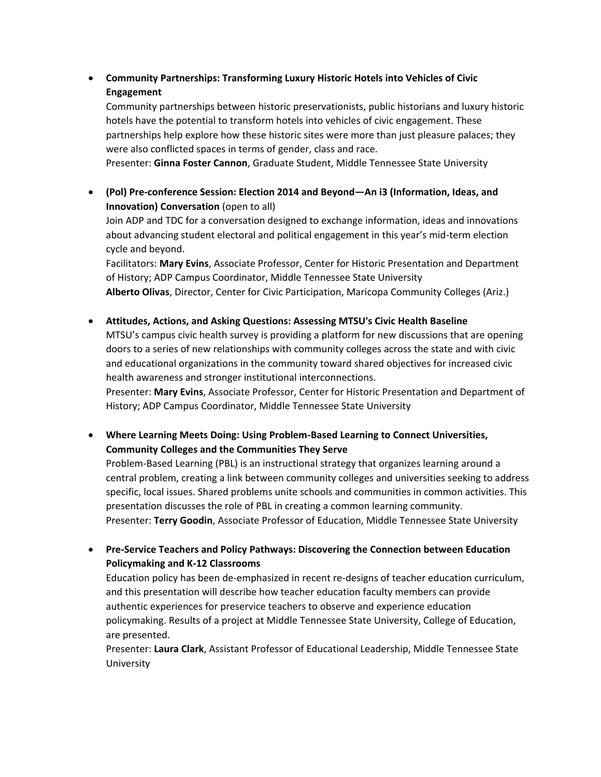**Community Partnerships: Transforming Luxury Historic Hotels into Vehicles of Civic Engagement**

Community partnerships between historic preservationists, public historians and luxury historic hotels have the potential to transform hotels into vehicles of civic engagement. These partnerships help explore how these historic sites were more than just pleasure palaces; they were also conflicted spaces in terms of gender, class and race.

Presenter: **Ginna Foster Cannon**, Graduate Student, Middle Tennessee State University

 **(Pol) Pre-conference Session: Election 2014 and Beyond—An i3 (Information, Ideas, and Innovation) Conversation** (open to all)

Join ADP and TDC for a conversation designed to exchange information, ideas and innovations about advancing student electoral and political engagement in this year's mid-term election cycle and beyond.

Facilitators: **Mary Evins**, Associate Professor, Center for Historic Presentation and Department of History; ADP Campus Coordinator, Middle Tennessee State University **Alberto Olivas**, Director, Center for Civic Participation, Maricopa Community Colleges (Ariz.)

**Attitudes, Actions, and Asking Questions: Assessing MTSU's Civic Health Baseline**

MTSU's campus civic health survey is providing a platform for new discussions that are opening doors to a series of new relationships with community colleges across the state and with civic and educational organizations in the community toward shared objectives for increased civic health awareness and stronger institutional interconnections.

Presenter: **Mary Evins**, Associate Professor, Center for Historic Presentation and Department of History; ADP Campus Coordinator, Middle Tennessee State University

 **Where Learning Meets Doing: Using Problem-Based Learning to Connect Universities, Community Colleges and the Communities They Serve**

Problem-Based Learning (PBL) is an instructional strategy that organizes learning around a central problem, creating a link between community colleges and universities seeking to address specific, local issues. Shared problems unite schools and communities in common activities. This presentation discusses the role of PBL in creating a common learning community. Presenter: **Terry Goodin**, Associate Professor of Education, Middle Tennessee State University

 **Pre-Service Teachers and Policy Pathways: Discovering the Connection between Education Policymaking and K-12 Classrooms**

Education policy has been de-emphasized in recent re-designs of teacher education curriculum, and this presentation will describe how teacher education faculty members can provide authentic experiences for preservice teachers to observe and experience education policymaking. Results of a project at Middle Tennessee State University, College of Education, are presented.

Presenter: **Laura Clark**, Assistant Professor of Educational Leadership, Middle Tennessee State University